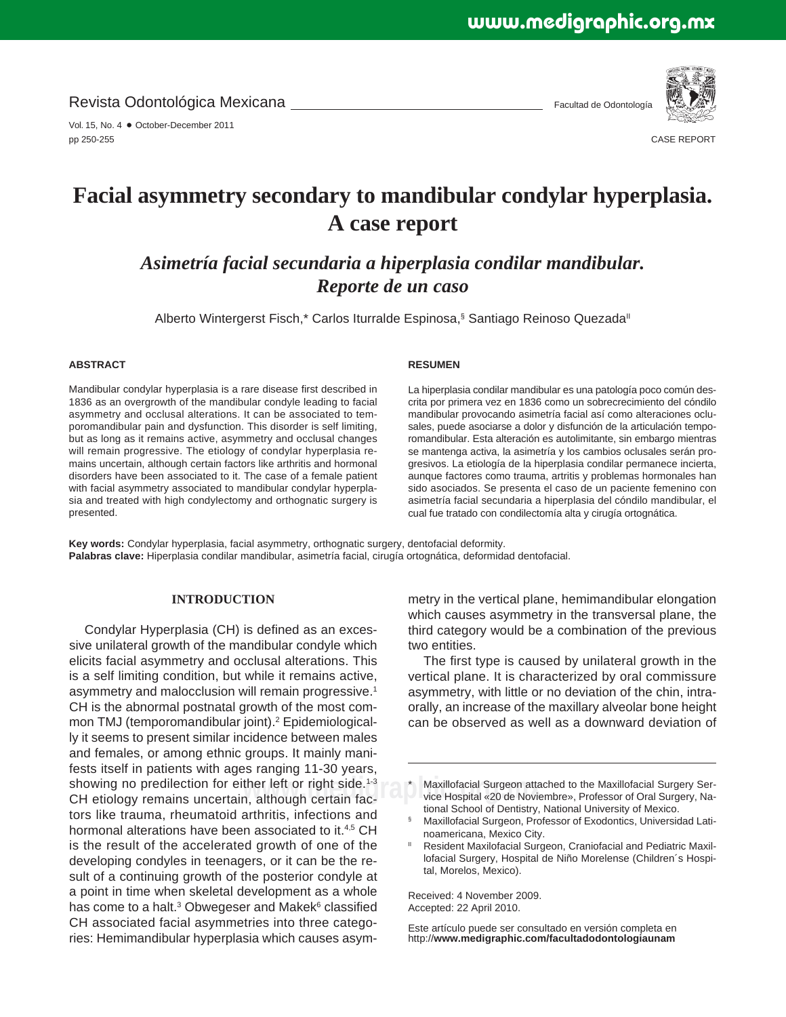Revista Odontológica Mexicana

Vol. 15, No. 4 · October-December 2011 pp 250-255

Facultad de Odontología



CASE REPORT

# **Facial asymmetry secondary to mandibular condylar hyperplasia. A case report**

*Asimetría facial secundaria a hiperplasia condilar mandibular. Reporte de un caso* 

Alberto Wintergerst Fisch,\* Carlos Iturralde Espinosa,<sup>§</sup> Santiago Reinoso Quezada<sup>‼</sup>

## **ABSTRACT**

Mandibular condylar hyperplasia is a rare disease first described in 1836 as an overgrowth of the mandibular condyle leading to facial asymmetry and occlusal alterations. It can be associated to temporomandibular pain and dysfunction. This disorder is self limiting, but as long as it remains active, asymmetry and occlusal changes will remain progressive. The etiology of condylar hyperplasia remains uncertain, although certain factors like arthritis and hormonal disorders have been associated to it. The case of a female patient with facial asymmetry associated to mandibular condylar hyperplasia and treated with high condylectomy and orthognatic surgery is presented.

#### **RESUMEN**

La hiperplasia condilar mandibular es una patología poco común descrita por primera vez en 1836 como un sobrecrecimiento del cóndilo mandibular provocando asimetría facial así como alteraciones oclusales, puede asociarse a dolor y disfunción de la articulación temporomandibular. Esta alteración es autolimitante, sin embargo mientras se mantenga activa, la asimetría y los cambios oclusales serán progresivos. La etiología de la hiperplasia condilar permanece incierta, aunque factores como trauma, artritis y problemas hormonales han sido asociados. Se presenta el caso de un paciente femenino con asimetría facial secundaria a hiperplasia del cóndilo mandibular, el cual fue tratado con condilectomía alta y cirugía ortognática.

**Key words:** Condylar hyperplasia, facial asymmetry, orthognatic surgery, dentofacial deformity. **Palabras clave:** Hiperplasia condilar mandibular, asimetría facial, cirugía ortognática, deformidad dentofacial.

## **INTRODUCTION**

showing no predilection for either left or right side.<sup>1-3</sup> \_\_\_\_\*\_ Maxillofacial Surgeon atta<br>CH etiology remains uncertain, although certain fac-\_\_\_\_\_\_\_vice Hospital «20 de Novie Condylar Hyperplasia (CH) is defined as an excessive unilateral growth of the mandibular condyle which elicits facial asymmetry and occlusal alterations. This is a self limiting condition, but while it remains active, asymmetry and malocclusion will remain progressive.<sup>1</sup> CH is the abnormal postnatal growth of the most common TMJ (temporomandibular joint).<sup>2</sup> Epidemiologically it seems to present similar incidence between males and females, or among ethnic groups. It mainly manifests itself in patients with ages ranging 11-30 years, CH etiology remains uncertain, although certain factors like trauma, rheumatoid arthritis, infections and hormonal alterations have been associated to it.<sup>4,5</sup> CH is the result of the accelerated growth of one of the developing condyles in teenagers, or it can be the result of a continuing growth of the posterior condyle at a point in time when skeletal development as a whole has come to a halt.<sup>3</sup> Obwegeser and Makek<sup>6</sup> classified CH associated facial asymmetries into three categories: Hemimandibular hyperplasia which causes asym-

metry in the vertical plane, hemimandibular elongation which causes asymmetry in the transversal plane, the third category would be a combination of the previous two entities.

The first type is caused by unilateral growth in the vertical plane. It is characterized by oral commissure asymmetry, with little or no deviation of the chin, intraorally, an increase of the maxillary alveolar bone height can be observed as well as a downward deviation of

Maxillofacial Surgeon attached to the Maxillofacial Surgery Service Hospital «20 de Noviembre», Professor of Oral Surgery, National School of Dentistry, National University of Mexico.

- § Maxillofacial Surgeon, Professor of Exodontics, Universidad Latinoamericana, Mexico City.
- Resident Maxilofacial Surgeon, Craniofacial and Pediatric Maxillofacial Surgery, Hospital de Niño Morelense (Children´s Hospital, Morelos, Mexico).

Received: 4 November 2009. Accepted: 22 April 2010.

Este artículo puede ser consultado en versión completa en http://**www.medigraphic.com/facultadodontologiaunam**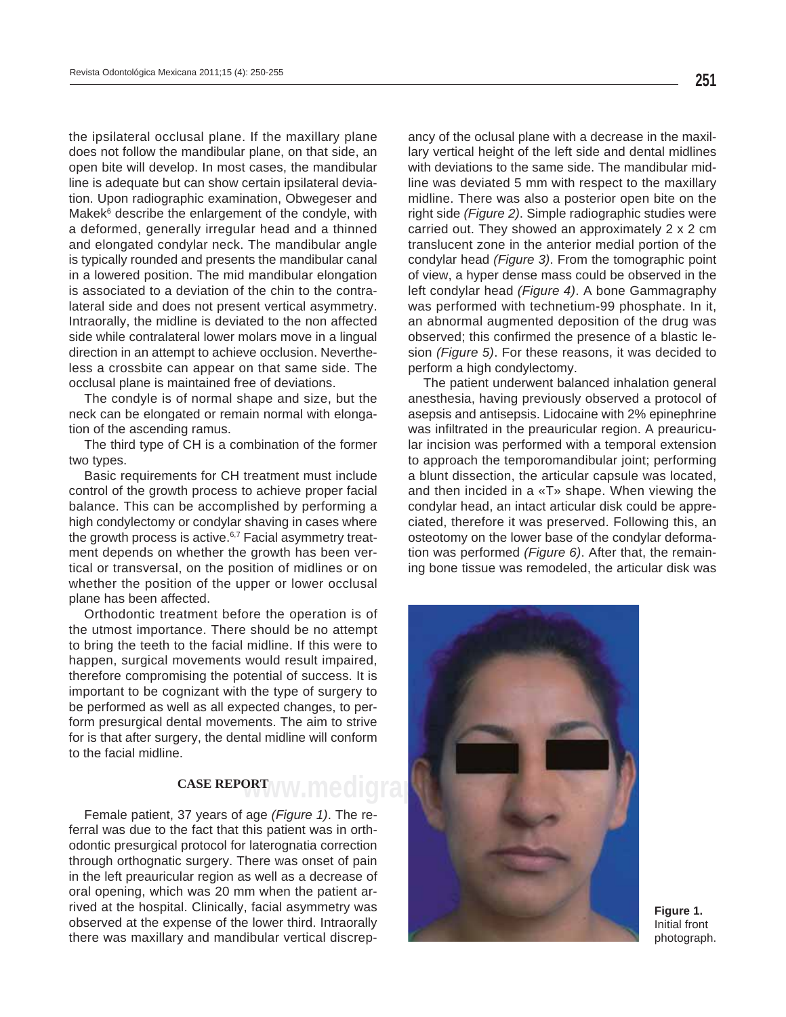the ipsilateral occlusal plane. If the maxillary plane does not follow the mandibular plane, on that side, an open bite will develop. In most cases, the mandibular line is adequate but can show certain ipsilateral deviation. Upon radiographic examination, Obwegeser and Makek<sup>6</sup> describe the enlargement of the condyle, with a deformed, generally irregular head and a thinned and elongated condylar neck. The mandibular angle is typically rounded and presents the mandibular canal in a lowered position. The mid mandibular elongation is associated to a deviation of the chin to the contralateral side and does not present vertical asymmetry. Intraorally, the midline is deviated to the non affected side while contralateral lower molars move in a lingual direction in an attempt to achieve occlusion. Nevertheless a crossbite can appear on that same side. The occlusal plane is maintained free of deviations.

The condyle is of normal shape and size, but the neck can be elongated or remain normal with elongation of the ascending ramus.

The third type of CH is a combination of the former two types.

Basic requirements for CH treatment must include control of the growth process to achieve proper facial balance. This can be accomplished by performing a high condylectomy or condylar shaving in cases where the growth process is active. $6,7$  Facial asymmetry treatment depends on whether the growth has been vertical or transversal, on the position of midlines or on whether the position of the upper or lower occlusal plane has been affected.

Orthodontic treatment before the operation is of the utmost importance. There should be no attempt to bring the teeth to the facial midline. If this were to happen, surgical movements would result impaired, therefore compromising the potential of success. It is important to be cognizant with the type of surgery to be performed as well as all expected changes, to perform presurgical dental movements. The aim to strive for is that after surgery, the dental midline will conform to the facial midline.

## **CASE REPORT**

Female patient, 37 years of age *(Figure 1)*. The referral was due to the fact that this patient was in orthodontic presurgical protocol for laterognatia correction through orthognatic surgery. There was onset of pain in the left preauricular region as well as a decrease of oral opening, which was 20 mm when the patient arrived at the hospital. Clinically, facial asymmetry was observed at the expense of the lower third. Intraorally there was maxillary and mandibular vertical discrepancy of the oclusal plane with a decrease in the maxillary vertical height of the left side and dental midlines with deviations to the same side. The mandibular midline was deviated 5 mm with respect to the maxillary midline. There was also a posterior open bite on the right side *(Figure 2)*. Simple radiographic studies were carried out. They showed an approximately 2 x 2 cm translucent zone in the anterior medial portion of the condylar head *(Figure 3)*. From the tomographic point of view, a hyper dense mass could be observed in the left condylar head *(Figure 4)*. A bone Gammagraphy was performed with technetium-99 phosphate. In it, an abnormal augmented deposition of the drug was observed; this confirmed the presence of a blastic lesion *(Figure 5)*. For these reasons, it was decided to perform a high condylectomy.

The patient underwent balanced inhalation general anesthesia, having previously observed a protocol of asepsis and antisepsis. Lidocaine with 2% epinephrine was infiltrated in the preauricular region. A preauricular incision was performed with a temporal extension to approach the temporomandibular joint; performing a blunt dissection, the articular capsule was located, and then incided in a «T» shape. When viewing the condylar head, an intact articular disk could be appreciated, therefore it was preserved. Following this, an osteotomy on the lower base of the condylar deformation was performed *(Figure 6)*. After that, the remaining bone tissue was remodeled, the articular disk was



**Figure 1.**  Initial front photograph.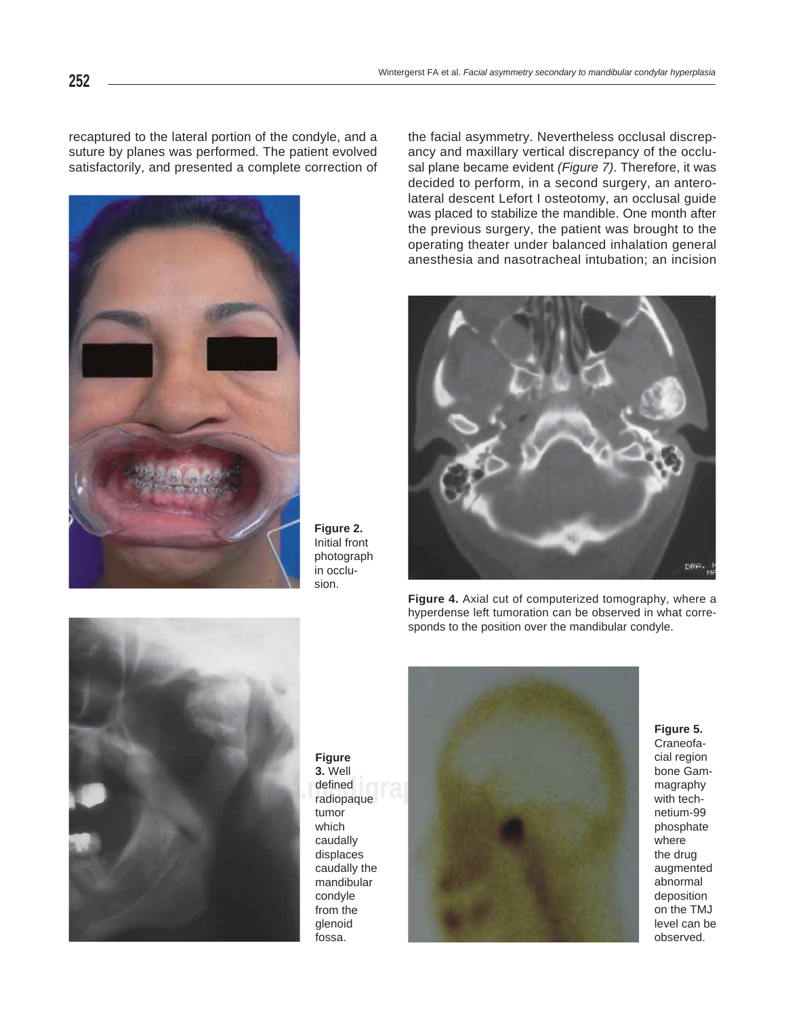recaptured to the lateral portion of the condyle, and a suture by planes was performed. The patient evolved satisfactorily, and presented a complete correction of



**Figure 2.** Initial front photograph in occlusion.

the facial asymmetry. Nevertheless occlusal discrepancy and maxillary vertical discrepancy of the occlusal plane became evident *(Figure 7)*. Therefore, it was decided to perform, in a second surgery, an anterolateral descent Lefort I osteotomy, an occlusal guide was placed to stabilize the mandible. One month after the previous surgery, the patient was brought to the operating theater under balanced inhalation general anesthesia and nasotracheal intubation; an incision



**Figure 4.** Axial cut of computerized tomography, where a hyperdense left tumoration can be observed in what corresponds to the position over the mandibular condyle.



**Figure 3.** Well defined radiopaque tumor which caudally displaces caudally the mandibular condyle from the glenoid fossa.



## **Figure 5.**

Craneofacial region bone Gammagraphy with technetium-99 phosphate where the drug augmented abnormal deposition on the TMJ level can be observed.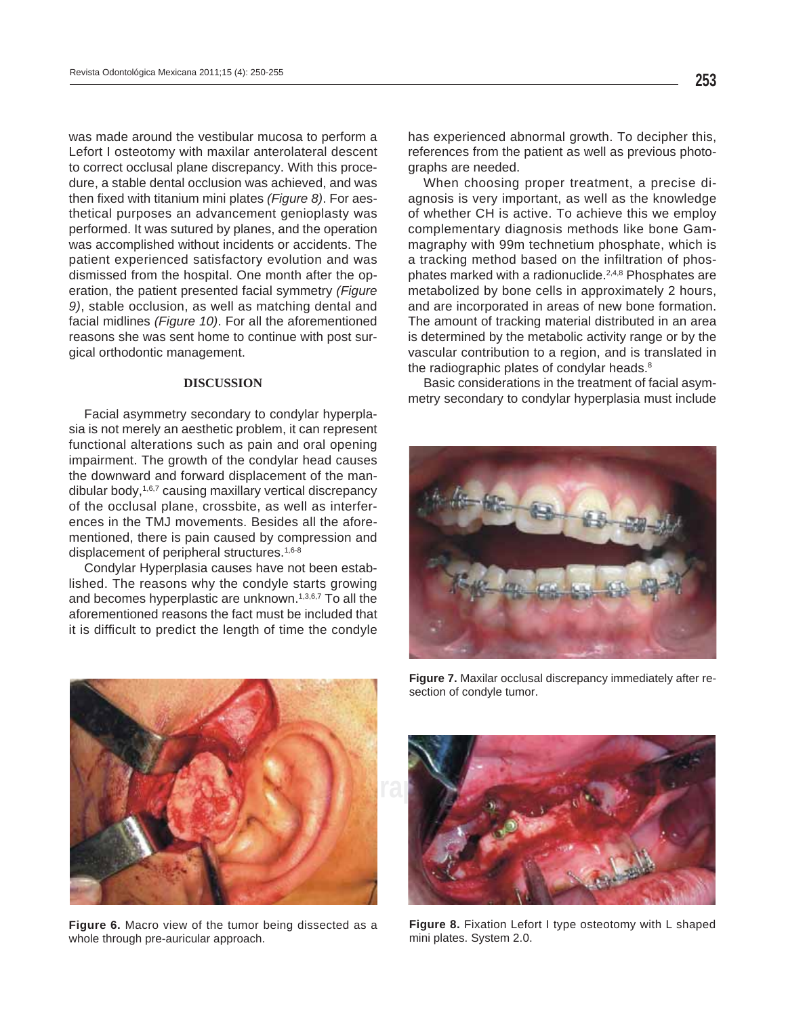was made around the vestibular mucosa to perform a Lefort I osteotomy with maxilar anterolateral descent to correct occlusal plane discrepancy. With this procedure, a stable dental occlusion was achieved, and was then fixed with titanium mini plates (Figure 8). For aesthetical purposes an advancement genioplasty was performed. It was sutured by planes, and the operation was accomplished without incidents or accidents. The patient experienced satisfactory evolution and was dismissed from the hospital. One month after the operation, the patient presented facial symmetry *(Figure 9)*, stable occlusion, as well as matching dental and facial midlines *(Figure 10)*. For all the aforementioned reasons she was sent home to continue with post surgical orthodontic management.

## **DISCUSSION**

Facial asymmetry secondary to condylar hyperplasia is not merely an aesthetic problem, it can represent functional alterations such as pain and oral opening impairment. The growth of the condylar head causes the downward and forward displacement of the mandibular body,<sup>1,6,7</sup> causing maxillary vertical discrepancy of the occlusal plane, crossbite, as well as interferences in the TMJ movements. Besides all the aforementioned, there is pain caused by compression and displacement of peripheral structures.<sup>1,6-8</sup>

Condylar Hyperplasia causes have not been established. The reasons why the condyle starts growing and becomes hyperplastic are unknown.<sup>1,3,6,7</sup> To all the aforementioned reasons the fact must be included that it is difficult to predict the length of time the condyle

has experienced abnormal growth. To decipher this, references from the patient as well as previous photographs are needed.

When choosing proper treatment, a precise diagnosis is very important, as well as the knowledge of whether CH is active. To achieve this we employ complementary diagnosis methods like bone Gammagraphy with 99m technetium phosphate, which is a tracking method based on the infiltration of phosphates marked with a radionuclide.<sup>2,4,8</sup> Phosphates are metabolized by bone cells in approximately 2 hours, and are incorporated in areas of new bone formation. The amount of tracking material distributed in an area is determined by the metabolic activity range or by the vascular contribution to a region, and is translated in the radiographic plates of condylar heads.<sup>8</sup>

Basic considerations in the treatment of facial asymmetry secondary to condylar hyperplasia must include





**Figure 6.** Macro view of the tumor being dissected as a whole through pre-auricular approach.

**Figure 7.** Maxilar occlusal discrepancy immediately after resection of condyle tumor.



**Figure 8.** Fixation Lefort I type osteotomy with L shaped mini plates. System 2.0.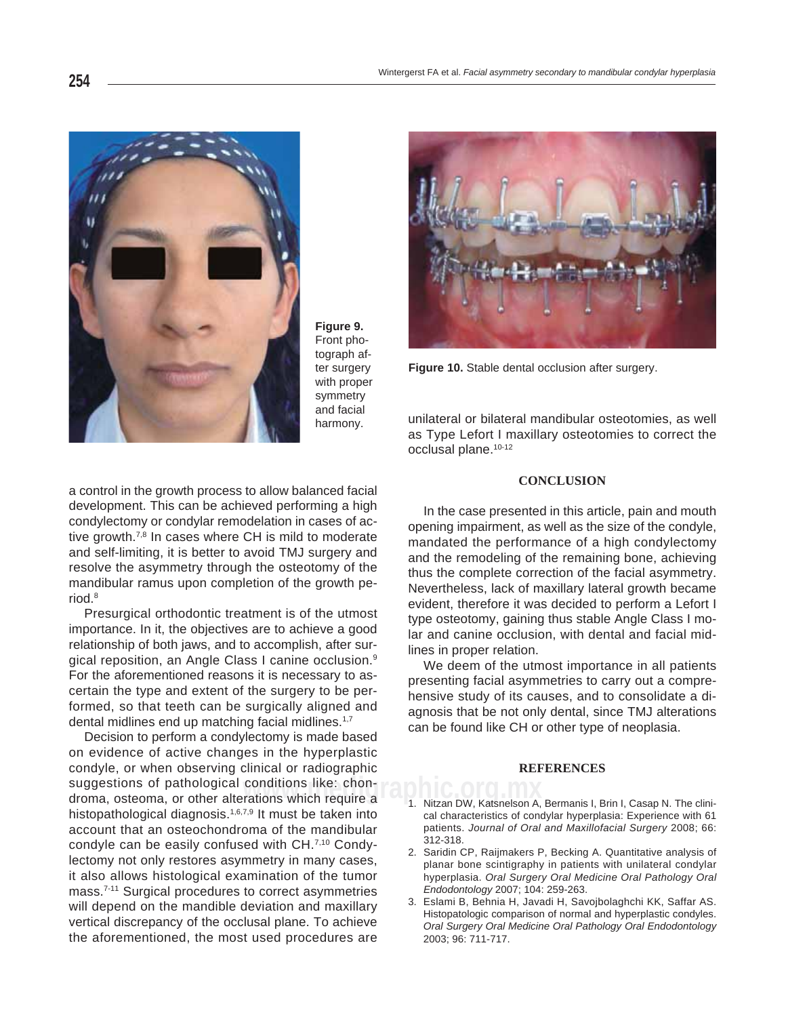

**Figure 9.**  Front photograph after surgery with proper symmetry and facial harmony.



**Figure 10.** Stable dental occlusion after surgery.

unilateral or bilateral mandibular osteotomies, as well as Type Lefort I maxillary osteotomies to correct the occlusal plane.<sup>10-12</sup>

## **CONCLUSION**

In the case presented in this article, pain and mouth opening impairment, as well as the size of the condyle, mandated the performance of a high condylectomy and the remodeling of the remaining bone, achieving thus the complete correction of the facial asymmetry. Nevertheless, lack of maxillary lateral growth became evident, therefore it was decided to perform a Lefort I type osteotomy, gaining thus stable Angle Class I molar and canine occlusion, with dental and facial midlines in proper relation.

We deem of the utmost importance in all patients presenting facial asymmetries to carry out a comprehensive study of its causes, and to consolidate a diagnosis that be not only dental, since TMJ alterations can be found like CH or other type of neoplasia.

#### **REFERENCES**

- 1. Nitzan DW, Katsnelson A, Bermanis I, Brin I, Casap N. The clinical characteristics of condylar hyperplasia: Experience with 61 patients. *Journal of Oral and Maxillofacial Surgery* 2008; 66: 312-318.
- 2. Saridin CP, Raijmakers P, Becking A. Quantitative analysis of planar bone scintigraphy in patients with unilateral condylar hyperplasia. *Oral Surgery Oral Medicine Oral Pathology Oral Endodontology* 2007; 104: 259-263.
- 3. Eslami B, Behnia H, Javadi H, Savojbolaghchi KK, Saffar AS. Histopatologic comparison of normal and hyperplastic condyles. *Oral Surgery Oral Medicine Oral Pathology Oral Endodontology* 2003; 96: 711-717.

a control in the growth process to allow balanced facial development. This can be achieved performing a high condylectomy or condylar remodelation in cases of active growth.<sup>7,8</sup> In cases where CH is mild to moderate and self-limiting, it is better to avoid TMJ surgery and resolve the asymmetry through the osteotomy of the mandibular ramus upon completion of the growth period.8

Presurgical orthodontic treatment is of the utmost importance. In it, the objectives are to achieve a good relationship of both jaws, and to accomplish, after surgical reposition, an Angle Class I canine occlusion.9 For the aforementioned reasons it is necessary to ascertain the type and extent of the surgery to be performed, so that teeth can be surgically aligned and dental midlines end up matching facial midlines.<sup>1,7</sup>

**www.medigraphic.org.mx** droma, osteoma, or other alterations which require a Decision to perform a condylectomy is made based on evidence of active changes in the hyperplastic condyle, or when observing clinical or radiographic suggestions of pathological conditions like: chonhistopathological diagnosis.<sup>1,6,7,9</sup> It must be taken into account that an osteochondroma of the mandibular condyle can be easily confused with CH.<sup>7,10</sup> Condylectomy not only restores asymmetry in many cases, it also allows histological examination of the tumor mass.7-11 Surgical procedures to correct asymmetries will depend on the mandible deviation and maxillary vertical discrepancy of the occlusal plane. To achieve the aforementioned, the most used procedures are